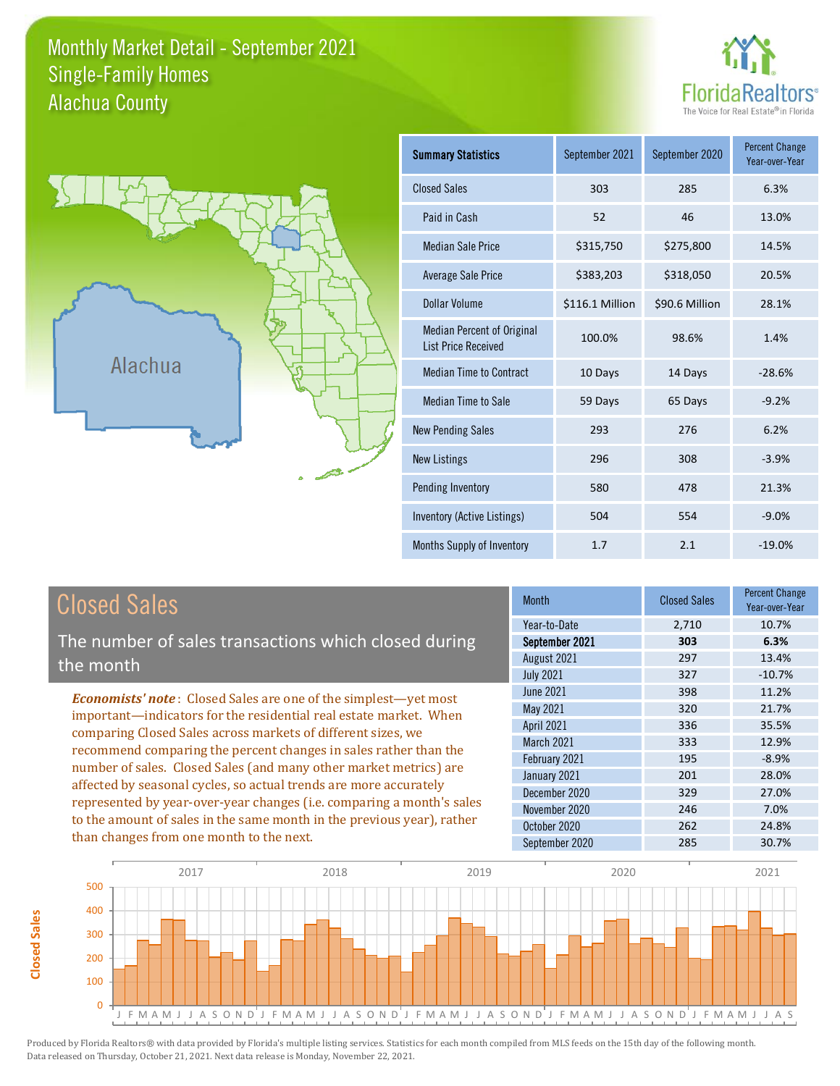### Monthly Market Detail - September 2021 Alachua County Single-Family Homes





**Closed Sales**

**Closed Sales** 

| <b>Summary Statistics</b>                                       | September 2021  | September 2020 | <b>Percent Change</b><br>Year-over-Year |
|-----------------------------------------------------------------|-----------------|----------------|-----------------------------------------|
| <b>Closed Sales</b>                                             | 303             | 285            | 6.3%                                    |
| Paid in Cash                                                    | 52              | 46             | 13.0%                                   |
| <b>Median Sale Price</b>                                        | \$315,750       | \$275,800      | 14.5%                                   |
| <b>Average Sale Price</b>                                       | \$383,203       | \$318,050      | 20.5%                                   |
| Dollar Volume                                                   | \$116.1 Million | \$90.6 Million | 28.1%                                   |
| <b>Median Percent of Original</b><br><b>List Price Received</b> | 100.0%          | 98.6%          | 1.4%                                    |
| <b>Median Time to Contract</b>                                  | 10 Days         | 14 Days        | $-28.6%$                                |
| <b>Median Time to Sale</b>                                      | 59 Days         | 65 Days        | $-9.2%$                                 |
| <b>New Pending Sales</b>                                        | 293             | 276            | 6.2%                                    |
| <b>New Listings</b>                                             | 296             | 308            | $-3.9%$                                 |
| Pending Inventory                                               | 580             | 478            | 21.3%                                   |
| Inventory (Active Listings)                                     | 504             | 554            | $-9.0%$                                 |
| Months Supply of Inventory                                      | 1.7             | 2.1            | $-19.0%$                                |

| <b>Closed Sales</b>                                                                                                                                                                                                                                                        | <b>Month</b>      | <b>Closed Sales</b> | <b>Percent Change</b><br>Year-over-Year |
|----------------------------------------------------------------------------------------------------------------------------------------------------------------------------------------------------------------------------------------------------------------------------|-------------------|---------------------|-----------------------------------------|
|                                                                                                                                                                                                                                                                            | Year-to-Date      | 2,710               | 10.7%                                   |
| The number of sales transactions which closed during                                                                                                                                                                                                                       | September 2021    | 303                 | 6.3%                                    |
| the month                                                                                                                                                                                                                                                                  | August 2021       | 297                 | 13.4%                                   |
|                                                                                                                                                                                                                                                                            | <b>July 2021</b>  | 327                 | $-10.7%$                                |
| <b>Economists' note:</b> Closed Sales are one of the simplest—yet most                                                                                                                                                                                                     | June 2021         | 398                 | 11.2%                                   |
| important—indicators for the residential real estate market. When                                                                                                                                                                                                          | May 2021          | 320                 | 21.7%                                   |
| comparing Closed Sales across markets of different sizes, we<br>recommend comparing the percent changes in sales rather than the<br>number of sales. Closed Sales (and many other market metrics) are<br>affected by seasonal cycles, so actual trends are more accurately | <b>April 2021</b> | 336                 | 35.5%                                   |
|                                                                                                                                                                                                                                                                            | March 2021        | 333                 | 12.9%                                   |
|                                                                                                                                                                                                                                                                            | February 2021     | 195                 | $-8.9%$                                 |
|                                                                                                                                                                                                                                                                            | January 2021      | 201                 | 28.0%                                   |
|                                                                                                                                                                                                                                                                            | December 2020     | 329                 | 27.0%                                   |
| represented by year-over-year changes (i.e. comparing a month's sales                                                                                                                                                                                                      | November 2020     | 246                 | 7.0%                                    |
| to the amount of sales in the same month in the previous year), rather                                                                                                                                                                                                     | October 2020      | 262                 | 24.8%                                   |
| than changes from one month to the next.                                                                                                                                                                                                                                   | September 2020    | 285                 | 30.7%                                   |

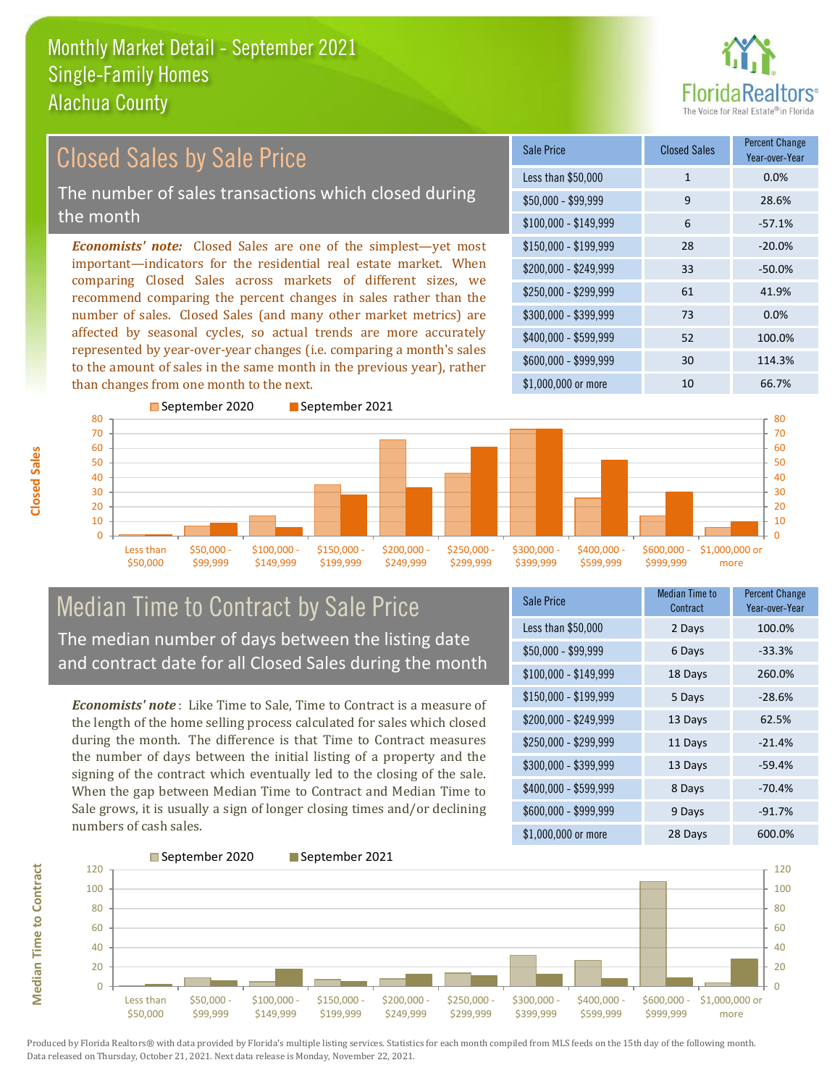

### \$100,000 - \$149,999 6 -57.1% Sale Price Closed Sales Percent Change Year-over-Year Less than \$50,000 1 1 0.0%  $$50.000 - $99.999$  9 28.6% \$150,000 - \$199,999 28 -20.0% \$200,000 - \$249,999 33 -50.0% \$400,000 - \$599,999 52 100.0% \$600,000 - \$999,999 30 114.3% *Economists' note:* Closed Sales are one of the simplest—yet most important—indicators for the residential real estate market. When comparing Closed Sales across markets of different sizes, we recommend comparing the percent changes in sales rather than the number of sales. Closed Sales (and many other market metrics) are affected by seasonal cycles, so actual trends are more accurately represented by year-over-year changes (i.e. comparing a month's sales to the amount of sales in the same month in the previous year), rather than changes from one month to the next. \$1,000,000 or more 10 10 66.7% \$250,000 - \$299,999 61 41.9% \$300,000 - \$399,999 73 0.0% September 2020 September 2021 Closed Sales by Sale Price The number of sales transactions which closed during the month



## Median Time to Contract by Sale Price The median number of days between the listing date and contract date for all Closed Sales during the month

*Economists' note* : Like Time to Sale, Time to Contract is a measure of the length of the home selling process calculated for sales which closed during the month. The difference is that Time to Contract measures the number of days between the initial listing of a property and the signing of the contract which eventually led to the closing of the sale. When the gap between Median Time to Contract and Median Time to Sale grows, it is usually a sign of longer closing times and/or declining numbers of cash sales.

| Sale Price            | <b>Median Time to</b><br>Contract | <b>Percent Change</b><br>Year-over-Year |
|-----------------------|-----------------------------------|-----------------------------------------|
| Less than \$50,000    | 2 Days                            | 100.0%                                  |
| $$50,000 - $99,999$   | 6 Days                            | $-33.3%$                                |
| $$100,000 - $149,999$ | 18 Days                           | 260.0%                                  |
| \$150,000 - \$199,999 | 5 Days                            | $-28.6%$                                |
| \$200,000 - \$249,999 | 13 Days                           | 62.5%                                   |
| \$250,000 - \$299,999 | 11 Days                           | $-21.4%$                                |
| \$300,000 - \$399,999 | 13 Days                           | $-59.4%$                                |
| \$400,000 - \$599,999 | 8 Days                            | $-70.4%$                                |
| \$600,000 - \$999,999 | 9 Days                            | $-91.7%$                                |
| \$1,000,000 or more   | 28 Days                           | 600.0%                                  |



**Closed Sales**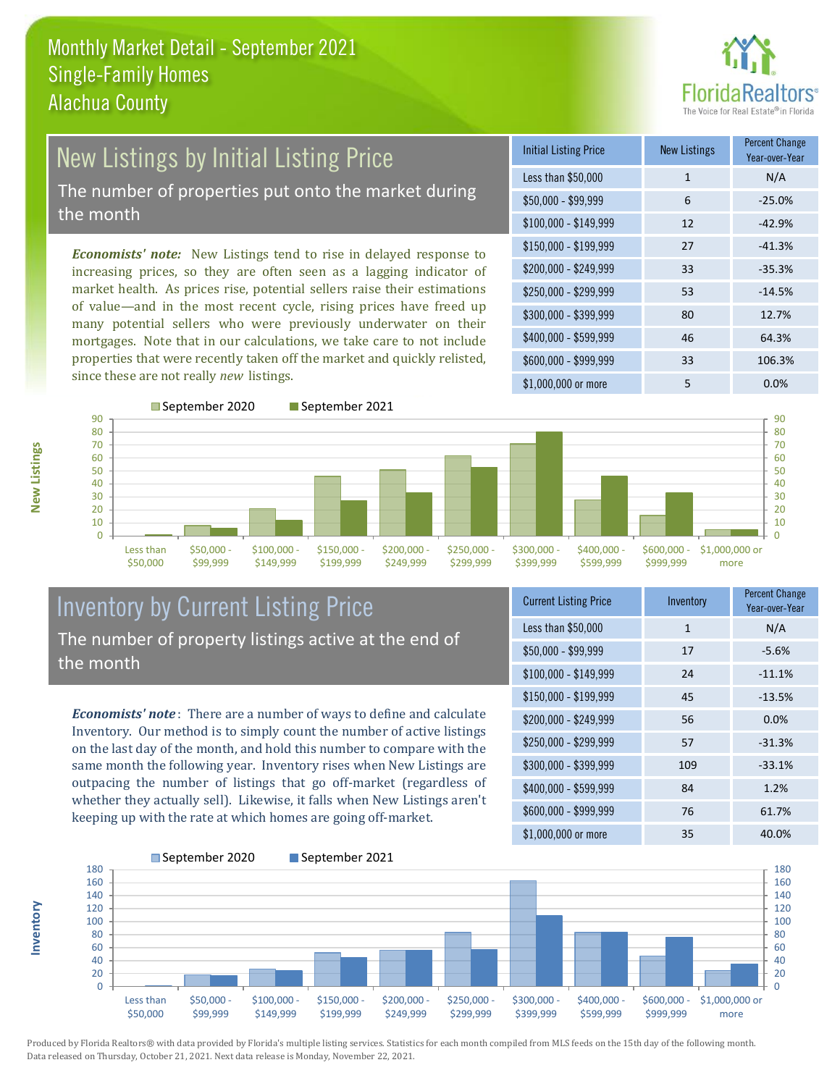

## New Listings by Initial Listing Price The number of properties put onto the market during

the month

*Economists' note:* New Listings tend to rise in delayed response to increasing prices, so they are often seen as a lagging indicator of market health. As prices rise, potential sellers raise their estimations of value—and in the most recent cycle, rising prices have freed up many potential sellers who were previously underwater on their mortgages. Note that in our calculations, we take care to not include properties that were recently taken off the market and quickly relisted, since these are not really *new* listings.

| <b>Initial Listing Price</b> | <b>New Listings</b> | <b>Percent Change</b><br>Year-over-Year |
|------------------------------|---------------------|-----------------------------------------|
| Less than \$50,000           | $\mathbf{1}$        | N/A                                     |
| $$50,000 - $99,999$          | 6                   | $-25.0%$                                |
| $$100,000 - $149,999$        | 12                  | $-42.9%$                                |
| $$150,000 - $199,999$        | 27                  | $-41.3%$                                |
| \$200,000 - \$249,999        | 33                  | $-35.3%$                                |
| \$250,000 - \$299,999        | 53                  | $-14.5%$                                |
| \$300,000 - \$399,999        | 80                  | 12.7%                                   |
| \$400,000 - \$599,999        | 46                  | 64.3%                                   |
| \$600,000 - \$999,999        | 33                  | 106.3%                                  |
| \$1,000,000 or more          | 5                   | 0.0%                                    |



## Inventory by Current Listing Price The number of property listings active at the end of the month

*Economists' note* : There are a number of ways to define and calculate Inventory. Our method is to simply count the number of active listings on the last day of the month, and hold this number to compare with the same month the following year. Inventory rises when New Listings are outpacing the number of listings that go off-market (regardless of whether they actually sell). Likewise, it falls when New Listings aren't keeping up with the rate at which homes are going off-market.

| <b>Current Listing Price</b> | Inventory | <b>Percent Change</b><br>Year-over-Year |
|------------------------------|-----------|-----------------------------------------|
| Less than \$50,000           | 1         | N/A                                     |
| $$50,000 - $99,999$          | 17        | $-5.6%$                                 |
| $$100,000 - $149,999$        | 24        | $-11.1%$                                |
| $$150,000 - $199,999$        | 45        | $-13.5%$                                |
| \$200,000 - \$249,999        | 56        | 0.0%                                    |
| \$250,000 - \$299,999        | 57        | $-31.3%$                                |
| \$300,000 - \$399,999        | 109       | $-33.1%$                                |
| \$400,000 - \$599,999        | 84        | 1.2%                                    |
| \$600,000 - \$999,999        | 76        | 61.7%                                   |
| \$1,000,000 or more          | 35        | 40.0%                                   |



Produced by Florida Realtors® with data provided by Florida's multiple listing services. Statistics for each month compiled from MLS feeds on the 15th day of the following month. Data released on Thursday, October 21, 2021. Next data release is Monday, November 22, 2021.

**Inventory**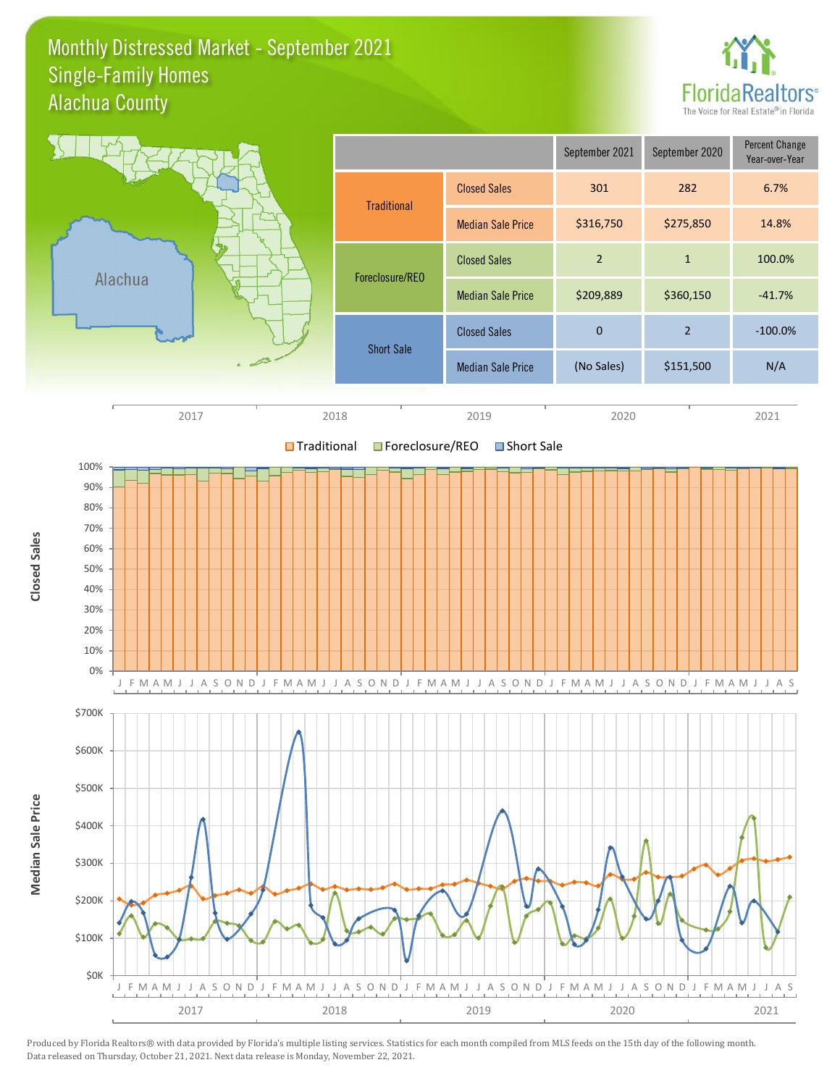### Monthly Distressed Market - September 2021 Alachua County Single-Family Homes



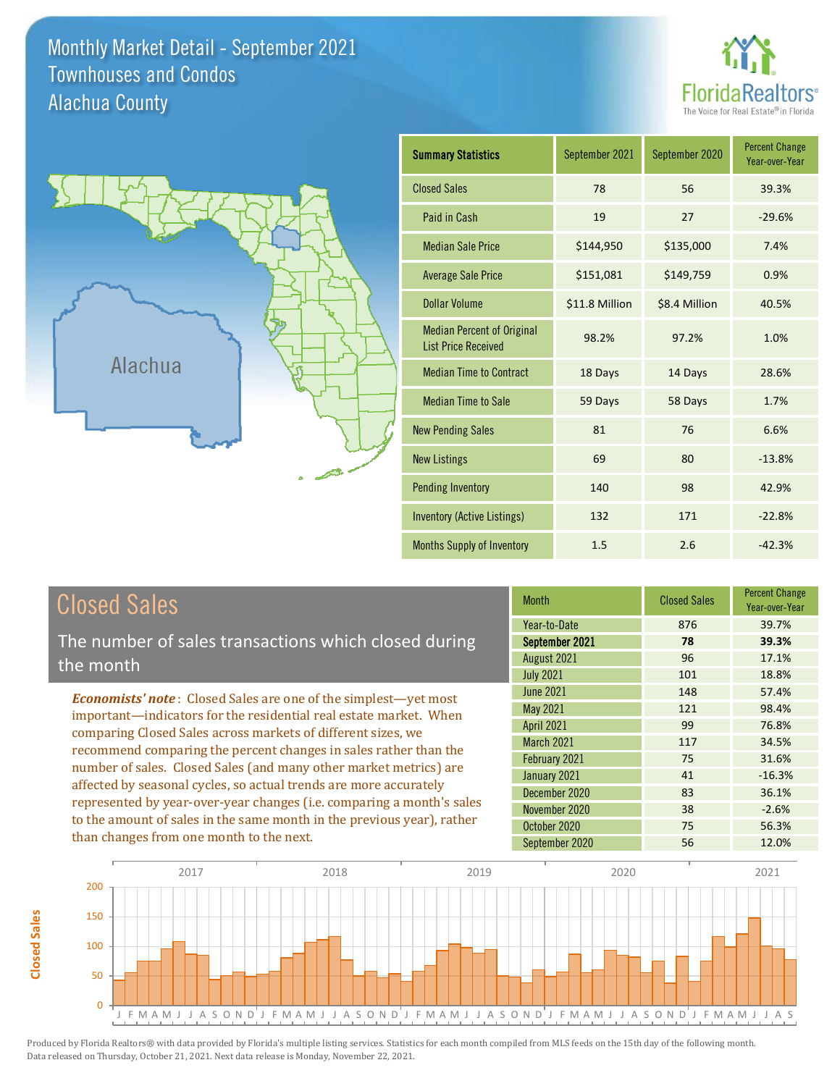Monthly Market Detail - September 2021 Alachua County Townhouses and Condos





| <b>Summary Statistics</b>                                       | September 2020<br>September 2021 |               | <b>Percent Change</b><br>Year-over-Year |
|-----------------------------------------------------------------|----------------------------------|---------------|-----------------------------------------|
| <b>Closed Sales</b>                                             | 78                               | 56            | 39.3%                                   |
| Paid in Cash                                                    | 19                               | 27            | $-29.6%$                                |
| <b>Median Sale Price</b>                                        | \$144,950                        | \$135,000     | 7.4%                                    |
| <b>Average Sale Price</b>                                       | \$151,081                        | \$149,759     | 0.9%                                    |
| <b>Dollar Volume</b>                                            | \$11.8 Million                   | \$8.4 Million | 40.5%                                   |
| <b>Median Percent of Original</b><br><b>List Price Received</b> | 98.2%                            | 97.2%         | 1.0%                                    |
| <b>Median Time to Contract</b>                                  | 18 Days                          | 14 Days       | 28.6%                                   |
| <b>Median Time to Sale</b>                                      | 59 Days                          | 58 Days       | 1.7%                                    |
| <b>New Pending Sales</b>                                        | 81                               | 76            | 6.6%                                    |
| <b>New Listings</b>                                             | 69                               | 80            | $-13.8%$                                |
| <b>Pending Inventory</b>                                        | 140                              | 98            | 42.9%                                   |
| Inventory (Active Listings)                                     | 132                              | 171           | $-22.8%$                                |
| Months Supply of Inventory                                      | 1.5                              | 2.6           | $-42.3%$                                |

# Closed Sales

The number of sales transactions which closed during the month

*Economists' note* : Closed Sales are one of the simplest—yet most important—indicators for the residential real estate market. When comparing Closed Sales across markets of different sizes, we recommend comparing the percent changes in sales rather than the number of sales. Closed Sales (and many other market metrics) are affected by seasonal cycles, so actual trends are more accurately represented by year-over-year changes (i.e. comparing a month's sales to the amount of sales in the same month in the previous year), rather than changes from one month to the next.

| <b>Month</b>      | <b>Closed Sales</b> | <b>Percent Change</b><br>Year-over-Year |
|-------------------|---------------------|-----------------------------------------|
| Year-to-Date      | 876                 | 39.7%                                   |
| September 2021    | 78                  | 39.3%                                   |
| August 2021       | 96                  | 17.1%                                   |
| <b>July 2021</b>  | 101                 | 18.8%                                   |
| <b>June 2021</b>  | 148                 | 57.4%                                   |
| May 2021          | 121                 | 98.4%                                   |
| April 2021        | 99                  | 76.8%                                   |
| <b>March 2021</b> | 117                 | 34.5%                                   |
| February 2021     | 75                  | 31.6%                                   |
| January 2021      | 41                  | $-16.3%$                                |
| December 2020     | 83                  | 36.1%                                   |
| November 2020     | 38                  | $-2.6%$                                 |
| October 2020      | 75                  | 56.3%                                   |
| September 2020    | 56                  | 12.0%                                   |

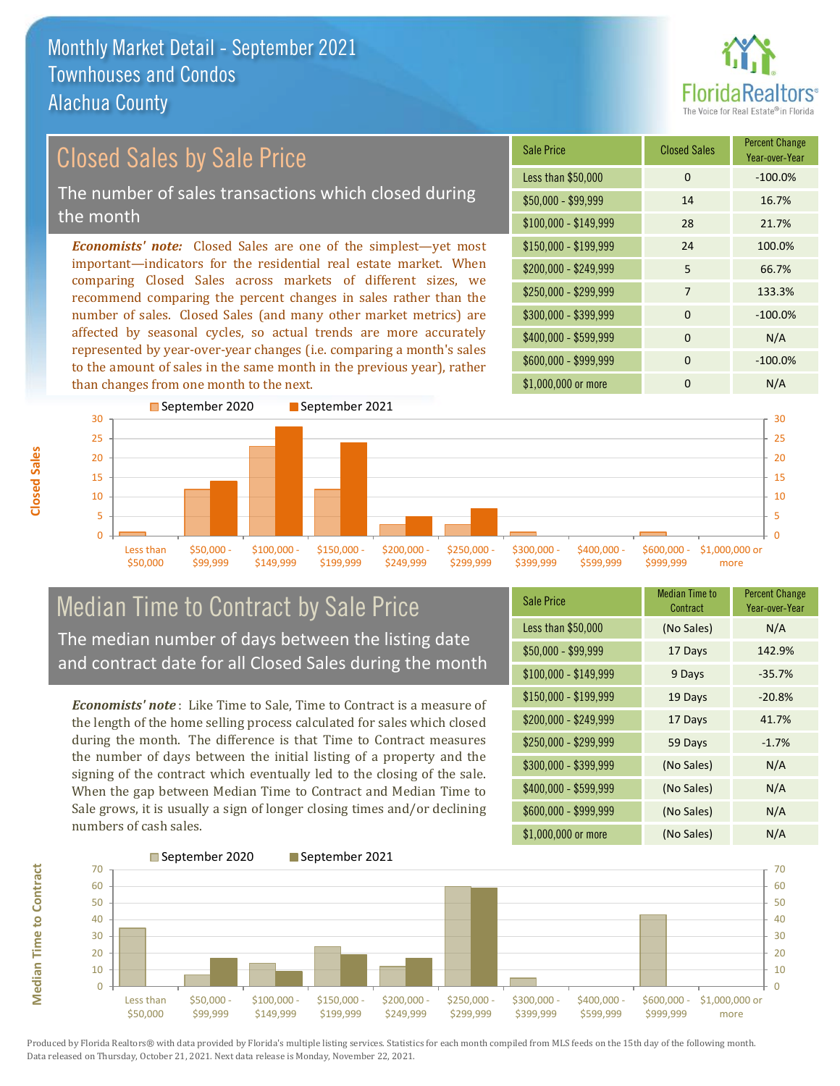than changes from one month to the next.



Year-over-Year

### \$100,000 - \$149,999 28 21.7% Sale Price Closed Sales Percent Change Less than \$50,000 0 0 -100.0% \$50,000 - \$99,999 14 16.7% \$150,000 - \$199,999 24 100.0% \$200,000 - \$249,999 5 66.7%  $$400,000 - $599,999$  0 N/A \$600,000 - \$999,999 0 -100.0% *Economists' note:* Closed Sales are one of the simplest—yet most important—indicators for the residential real estate market. When comparing Closed Sales across markets of different sizes, we recommend comparing the percent changes in sales rather than the number of sales. Closed Sales (and many other market metrics) are affected by seasonal cycles, so actual trends are more accurately represented by year-over-year changes (i.e. comparing a month's sales \$250,000 - \$299,999 7 133.3% \$300,000 - \$399,999 0 -100.0% Closed Sales by Sale Price The number of sales transactions which closed during the month



## Median Time to Contract by Sale Price The median number of days between the listing date and contract date for all Closed Sales during the month

to the amount of sales in the same month in the previous year), rather

*Economists' note* : Like Time to Sale, Time to Contract is a measure of the length of the home selling process calculated for sales which closed during the month. The difference is that Time to Contract measures the number of days between the initial listing of a property and the signing of the contract which eventually led to the closing of the sale. When the gap between Median Time to Contract and Median Time to Sale grows, it is usually a sign of longer closing times and/or declining numbers of cash sales.

| <b>Sale Price</b>     | <b>Median Time to</b><br>Contract | <b>Percent Change</b><br>Year-over-Year |
|-----------------------|-----------------------------------|-----------------------------------------|
| Less than \$50,000    | (No Sales)                        | N/A                                     |
| $$50,000 - $99,999$   | 17 Days                           | 142.9%                                  |
| $$100,000 - $149,999$ | 9 Days                            | $-35.7%$                                |
| \$150,000 - \$199,999 | 19 Days                           | $-20.8%$                                |
| \$200,000 - \$249,999 | 17 Days                           | 41.7%                                   |
| \$250,000 - \$299,999 | 59 Days                           | $-1.7%$                                 |
| \$300,000 - \$399,999 | (No Sales)                        | N/A                                     |
| \$400,000 - \$599,999 | (No Sales)                        | N/A                                     |
| \$600,000 - \$999,999 | (No Sales)                        | N/A                                     |
| \$1,000,000 or more   | (No Sales)                        | N/A                                     |

\$1,000,000 or more 0 0 N/A



**Closed Sales**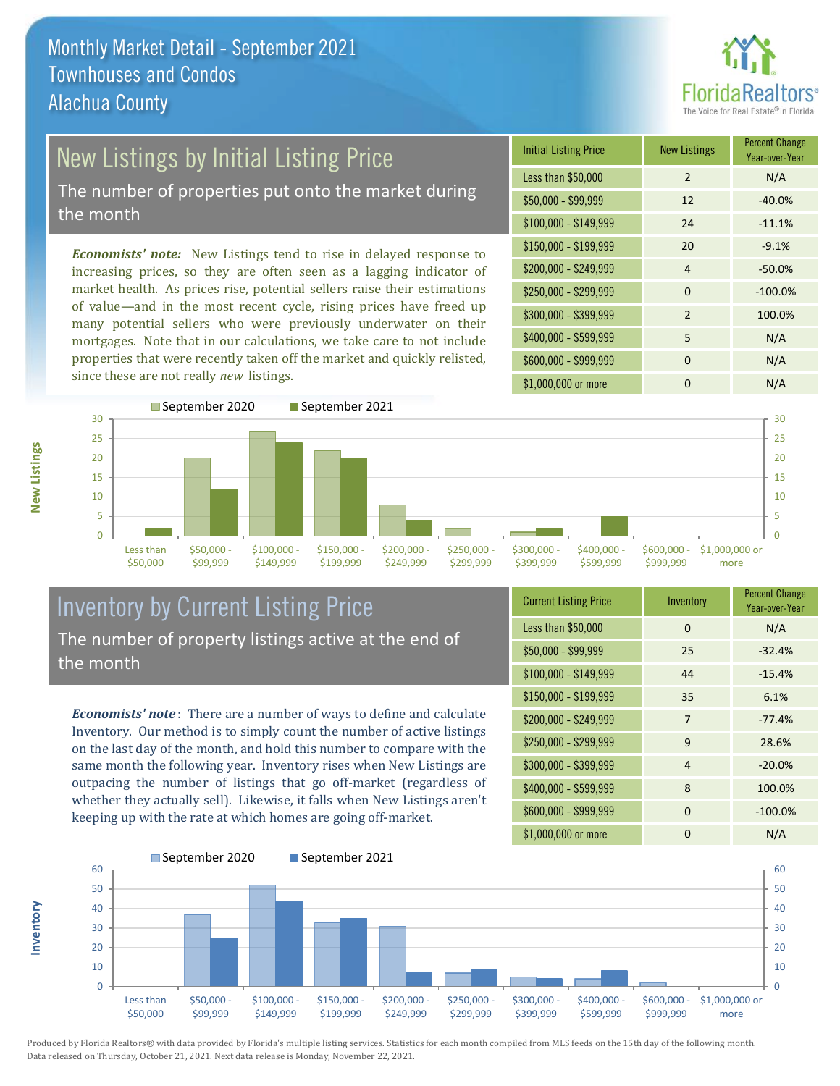

# New Listings by Initial Listing Price

The number of properties put onto the market during the month

*Economists' note:* New Listings tend to rise in delayed response to increasing prices, so they are often seen as a lagging indicator of market health. As prices rise, potential sellers raise their estimations of value—and in the most recent cycle, rising prices have freed up many potential sellers who were previously underwater on their mortgages. Note that in our calculations, we take care to not include properties that were recently taken off the market and quickly relisted, since these are not really *new* listings.

| <b>Initial Listing Price</b> | <b>New Listings</b> | <b>Percent Change</b><br>Year-over-Year |
|------------------------------|---------------------|-----------------------------------------|
| Less than \$50,000           | $\mathfrak{D}$      | N/A                                     |
| $$50,000 - $99,999$          | 12                  | $-40.0%$                                |
| $$100,000 - $149,999$        | 24                  | $-11.1%$                                |
| \$150,000 - \$199,999        | 20                  | $-9.1%$                                 |
| \$200,000 - \$249,999        | $\overline{4}$      | $-50.0%$                                |
| \$250,000 - \$299,999        | 0                   | $-100.0%$                               |
| \$300,000 - \$399,999        | $\mathcal{P}$       | 100.0%                                  |
| \$400,000 - \$599,999        | 5                   | N/A                                     |
| \$600,000 - \$999,999        | $\Omega$            | N/A                                     |
| \$1,000,000 or more          | n                   | N/A                                     |



### Inventory by Current Listing Price The number of property listings active at the end of the month

*Economists' note* : There are a number of ways to define and calculate Inventory. Our method is to simply count the number of active listings on the last day of the month, and hold this number to compare with the same month the following year. Inventory rises when New Listings are outpacing the number of listings that go off-market (regardless of whether they actually sell). Likewise, it falls when New Listings aren't keeping up with the rate at which homes are going off-market.

**Inventory**

**New Listings**

| <b>Current Listing Price</b> | Inventory      | <b>Percent Change</b><br>Year-over-Year |
|------------------------------|----------------|-----------------------------------------|
| Less than \$50,000           | $\Omega$       | N/A                                     |
| $$50,000 - $99,999$          | 25             | $-32.4%$                                |
| $$100,000 - $149,999$        | 44             | $-15.4%$                                |
| $$150,000 - $199,999$        | 35             | 6.1%                                    |
| \$200,000 - \$249,999        | 7              | $-77.4%$                                |
| \$250,000 - \$299,999        | 9              | 28.6%                                   |
| \$300,000 - \$399,999        | $\overline{4}$ | $-20.0%$                                |
| \$400,000 - \$599,999        | 8              | 100.0%                                  |
| \$600,000 - \$999,999        | $\Omega$       | $-100.0%$                               |
| \$1,000,000 or more          | 0              | N/A                                     |

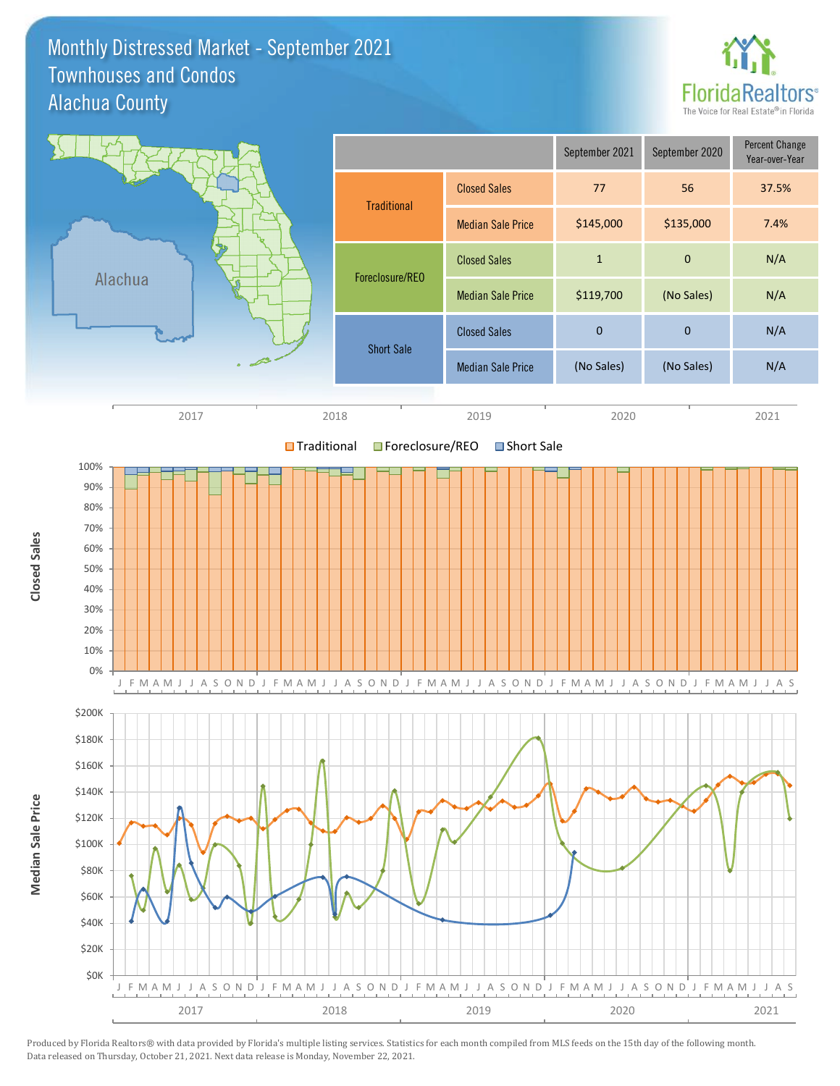### Monthly Distressed Market - September 2021 Alachua County Townhouses and Condos



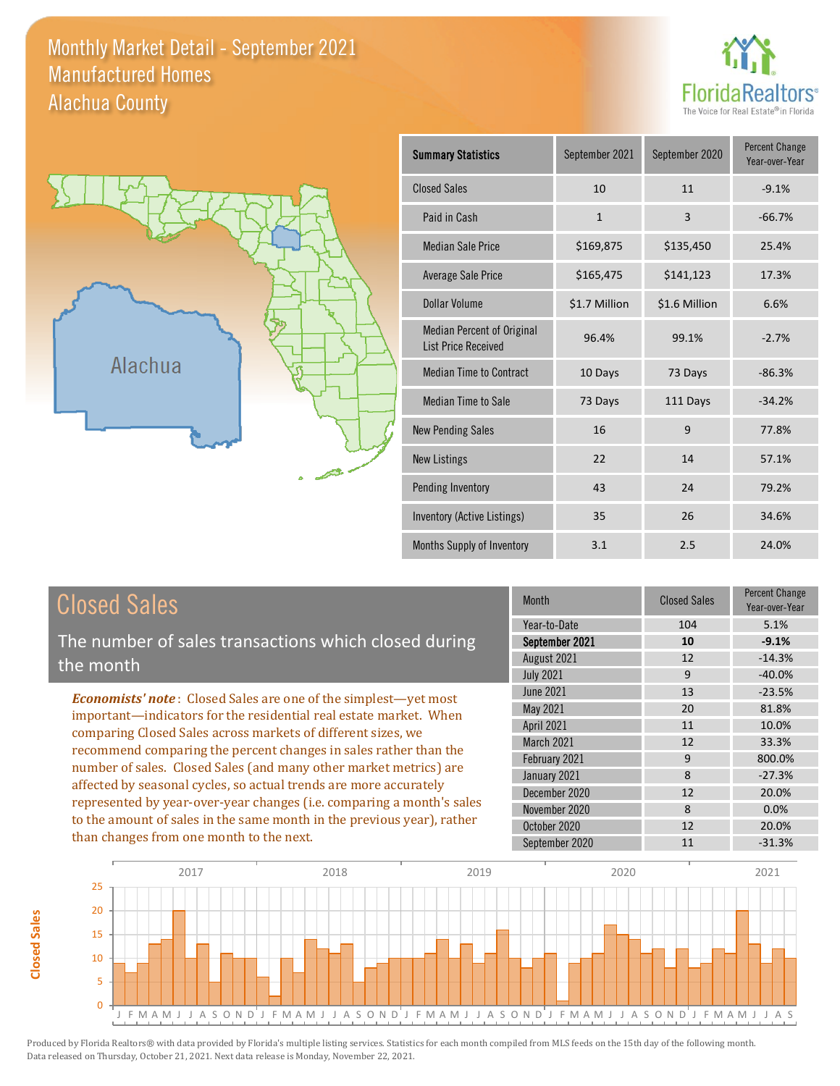### Monthly Market Detail - September 2021 Alachua County Manufactured Homes





**Closed Sales**

**Closed Sales** 

| <b>Summary Statistics</b>                                       | September 2021 | September 2020 | <b>Percent Change</b><br>Year-over-Year |
|-----------------------------------------------------------------|----------------|----------------|-----------------------------------------|
| <b>Closed Sales</b>                                             | 10             | 11             | $-9.1%$                                 |
| Paid in Cash                                                    | $\mathbf{1}$   | 3              | $-66.7%$                                |
| <b>Median Sale Price</b>                                        | \$169,875      | \$135,450      | 25.4%                                   |
| <b>Average Sale Price</b>                                       | \$165,475      | \$141,123      | 17.3%                                   |
| Dollar Volume                                                   | \$1.7 Million  | \$1.6 Million  | 6.6%                                    |
| <b>Median Percent of Original</b><br><b>List Price Received</b> | 96.4%          | 99.1%          | $-2.7%$                                 |
| <b>Median Time to Contract</b>                                  | 10 Days        | 73 Days        | $-86.3%$                                |
| <b>Median Time to Sale</b>                                      | 73 Days        | 111 Days       | $-34.2%$                                |
| <b>New Pending Sales</b>                                        | 16             | 9              | 77.8%                                   |
| <b>New Listings</b>                                             | 22             | 14             | 57.1%                                   |
| Pending Inventory                                               | 43             | 24             | 79.2%                                   |
| Inventory (Active Listings)                                     | 35             | 26             | 34.6%                                   |
| Months Supply of Inventory                                      | 3.1            | 2.5            | 24.0%                                   |

| <b>Closed Sales</b>                                                                                                                                                                                                                                                                                                                                                                                                      | <b>Month</b>                                  | <b>Closed Sales</b> | <b>Percent Change</b><br>Year-over-Year |
|--------------------------------------------------------------------------------------------------------------------------------------------------------------------------------------------------------------------------------------------------------------------------------------------------------------------------------------------------------------------------------------------------------------------------|-----------------------------------------------|---------------------|-----------------------------------------|
| The number of sales transactions which closed during<br>the month                                                                                                                                                                                                                                                                                                                                                        | Year-to-Date<br>September 2021<br>August 2021 | 104<br>10<br>12     | 5.1%<br>$-9.1%$<br>$-14.3%$             |
|                                                                                                                                                                                                                                                                                                                                                                                                                          | <b>July 2021</b>                              | 9                   | $-40.0%$                                |
| <b>Economists' note:</b> Closed Sales are one of the simplest—yet most                                                                                                                                                                                                                                                                                                                                                   | June 2021<br>May 2021                         | 13<br>20            | $-23.5%$<br>81.8%                       |
| important-indicators for the residential real estate market. When<br>comparing Closed Sales across markets of different sizes, we<br>recommend comparing the percent changes in sales rather than the<br>number of sales. Closed Sales (and many other market metrics) are<br>affected by seasonal cycles, so actual trends are more accurately<br>represented by year-over-year changes (i.e. comparing a month's sales | <b>April 2021</b>                             | 11                  | 10.0%                                   |
|                                                                                                                                                                                                                                                                                                                                                                                                                          | March 2021                                    | 12                  | 33.3%                                   |
|                                                                                                                                                                                                                                                                                                                                                                                                                          | February 2021                                 | 9                   | 800.0%                                  |
|                                                                                                                                                                                                                                                                                                                                                                                                                          | January 2021                                  | 8                   | $-27.3%$                                |
|                                                                                                                                                                                                                                                                                                                                                                                                                          | December 2020                                 | 12                  | 20.0%                                   |
|                                                                                                                                                                                                                                                                                                                                                                                                                          | November 2020                                 | 8                   | $0.0\%$                                 |
| to the amount of sales in the same month in the previous year), rather                                                                                                                                                                                                                                                                                                                                                   | October 2020                                  | 12                  | 20.0%                                   |
| than changes from one month to the next.                                                                                                                                                                                                                                                                                                                                                                                 | September 2020                                | 11                  | $-31.3%$                                |

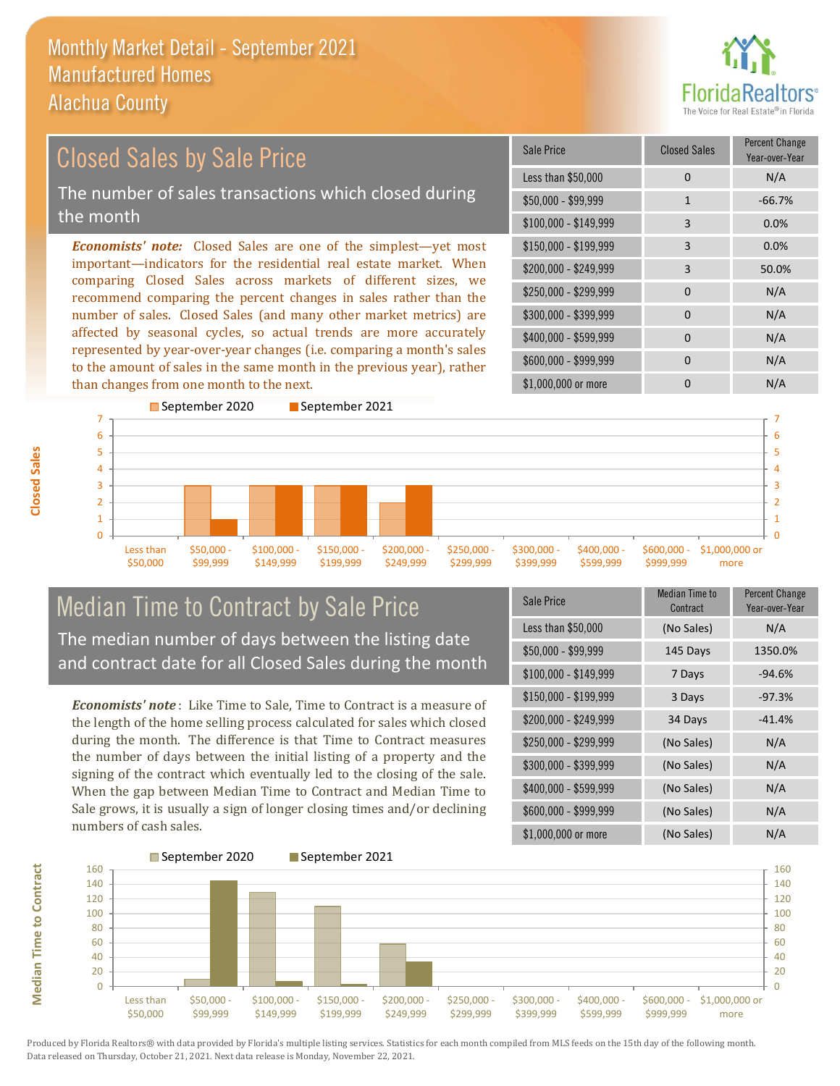

#### \$100,000 - \$149,999 3 0.0% Sale Price Closed Sales Percent Change Year-over-Year Less than \$50,000 0 0 N/A  $$50.000 - $99.999$  1 -66.7% \$150,000 - \$199,999 3 0.0% \$200,000 - \$249,999 3 50.0%  $$400,000 - $599,999$  0 N/A \$600,000 - \$999,999 0 0 N/A *Economists' note:* Closed Sales are one of the simplest—yet most important—indicators for the residential real estate market. When comparing Closed Sales across markets of different sizes, we recommend comparing the percent changes in sales rather than the number of sales. Closed Sales (and many other market metrics) are affected by seasonal cycles, so actual trends are more accurately represented by year-over-year changes (i.e. comparing a month's sales to the amount of sales in the same month in the previous year), rather than changes from one month to the next. \$1,000,000 or more 0 0 N/A \$250,000 - \$299,999 0 0 N/A \$300,000 - \$399,999 0 0 N/A Closed Sales by Sale Price The number of sales transactions which closed during the month



## Median Time to Contract by Sale Price The median number of days between the listing date and contract date for all Closed Sales during the month

*Economists' note* : Like Time to Sale, Time to Contract is a measure of the length of the home selling process calculated for sales which closed during the month. The difference is that Time to Contract measures the number of days between the initial listing of a property and the signing of the contract which eventually led to the closing of the sale. When the gap between Median Time to Contract and Median Time to Sale grows, it is usually a sign of longer closing times and/or declining numbers of cash sales.

| Sale Price            | Median Time to<br>Contract | <b>Percent Change</b><br>Year-over-Year |
|-----------------------|----------------------------|-----------------------------------------|
| Less than \$50,000    | (No Sales)                 | N/A                                     |
| $$50,000 - $99,999$   | 145 Days                   | 1350.0%                                 |
| $$100,000 - $149,999$ | 7 Days                     | $-94.6%$                                |
| \$150,000 - \$199,999 | 3 Days                     | $-97.3%$                                |
| \$200,000 - \$249,999 | 34 Days                    | $-41.4%$                                |
| \$250,000 - \$299,999 | (No Sales)                 | N/A                                     |
| \$300,000 - \$399,999 | (No Sales)                 | N/A                                     |
| \$400,000 - \$599,999 | (No Sales)                 | N/A                                     |
| \$600,000 - \$999,999 | (No Sales)                 | N/A                                     |
| \$1,000,000 or more   | (No Sales)                 | N/A                                     |



Produced by Florida Realtors® with data provided by Florida's multiple listing services. Statistics for each month compiled from MLS feeds on the 15th day of the following month. Data released on Thursday, October 21, 2021. Next data release is Monday, November 22, 2021.

**Median Time to Contract**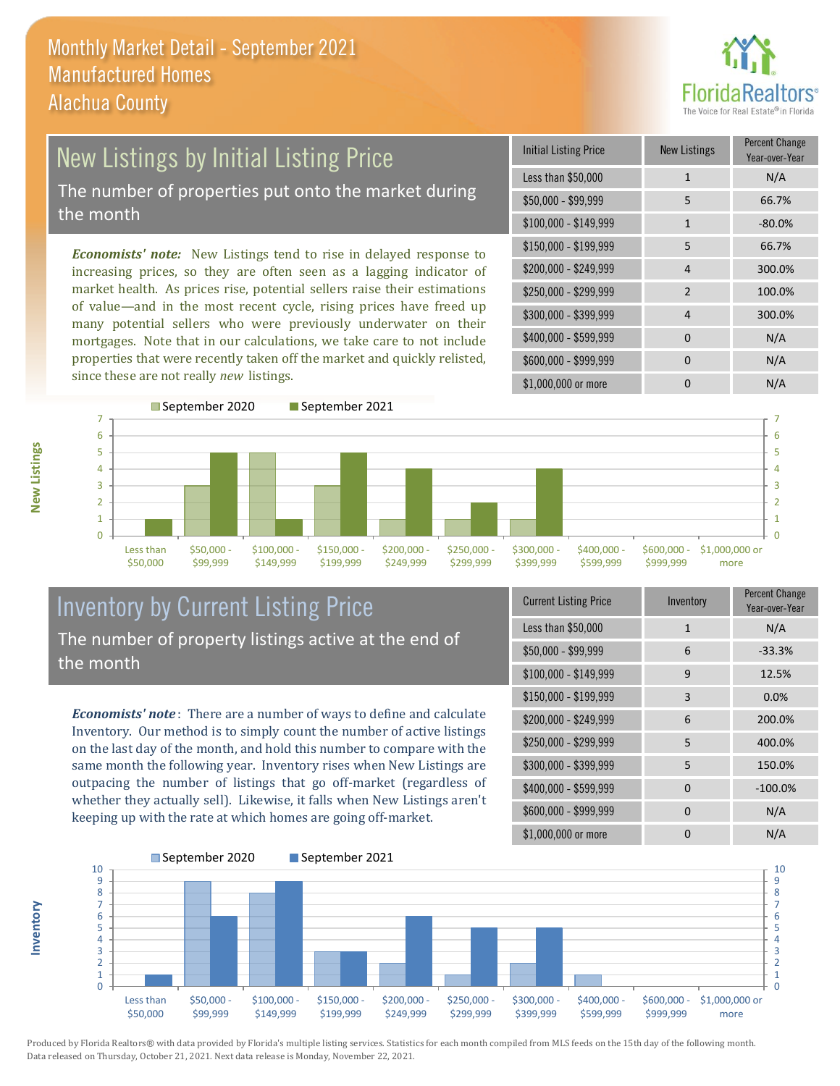

## New Listings by Initial Listing Price The number of properties put onto the market during the month

*Economists' note:* New Listings tend to rise in delayed response to increasing prices, so they are often seen as a lagging indicator of market health. As prices rise, potential sellers raise their estimations of value—and in the most recent cycle, rising prices have freed up many potential sellers who were previously underwater on their mortgages. Note that in our calculations, we take care to not include properties that were recently taken off the market and quickly relisted, since these are not really *new* listings.

| Initial Listing Price | New Listings   | <b>Percent Change</b><br>Year-over-Year |
|-----------------------|----------------|-----------------------------------------|
| Less than \$50,000    | $\mathbf{1}$   | N/A                                     |
| $$50,000 - $99,999$   | 5              | 66.7%                                   |
| $$100,000 - $149,999$ | $\mathbf{1}$   | $-80.0%$                                |
| $$150,000 - $199,999$ | 5              | 66.7%                                   |
| \$200,000 - \$249,999 | 4              | 300.0%                                  |
| \$250,000 - \$299,999 | $\overline{2}$ | 100.0%                                  |
| \$300,000 - \$399,999 | 4              | 300.0%                                  |
| \$400,000 - \$599,999 | $\Omega$       | N/A                                     |
| \$600,000 - \$999,999 | $\Omega$       | N/A                                     |
| \$1,000,000 or more   | n              | N/A                                     |



## Inventory by Current Listing Price The number of property listings active at the end of the month

*Economists' note* : There are a number of ways to define and calculate Inventory. Our method is to simply count the number of active listings on the last day of the month, and hold this number to compare with the same month the following year. Inventory rises when New Listings are outpacing the number of listings that go off-market (regardless of whether they actually sell). Likewise, it falls when New Listings aren't keeping up with the rate at which homes are going off-market.

| <b>Current Listing Price</b> | Inventory | Percent Change<br>Year-over-Year |
|------------------------------|-----------|----------------------------------|
| Less than \$50,000           | 1         | N/A                              |
| $$50,000 - $99,999$          | 6         | $-33.3%$                         |
| $$100,000 - $149,999$        | 9         | 12.5%                            |
| $$150,000 - $199,999$        | 3         | 0.0%                             |
| \$200,000 - \$249,999        | 6         | 200.0%                           |
| \$250,000 - \$299,999        | 5         | 400.0%                           |
| \$300,000 - \$399,999        | 5         | 150.0%                           |
| \$400,000 - \$599,999        | $\Omega$  | $-100.0%$                        |
| \$600,000 - \$999,999        | $\Omega$  | N/A                              |
| \$1,000,000 or more          | ი         | N/A                              |